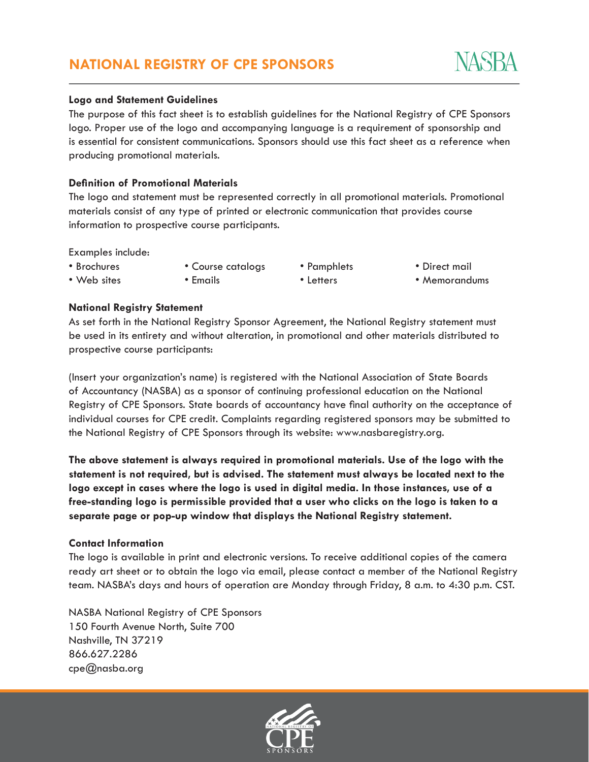#### **Logo and Statement Guidelines**

The purpose of this fact sheet is to establish guidelines for the National Registry of CPE Sponsors logo. Proper use of the logo and accompanying language is a requirement of sponsorship and is essential for consistent communications. Sponsors should use this fact sheet as a reference when producing promotional materials.

## **Definition of Promotional Materials**

The logo and statement must be represented correctly in all promotional materials. Promotional materials consist of any type of printed or electronic communication that provides course information to prospective course participants.

Examples include:

- Brochures • Web sites
- Course catalogs • Emails

• Pamphlets • Letters

• Direct mail

• Memorandums

## **National Registry Statement**

As set forth in the National Registry Sponsor Agreement, the National Registry statement must be used in its entirety and without alteration, in promotional and other materials distributed to prospective course participants:

(Insert your organization's name) is registered with the National Association of State Boards of Accountancy (NASBA) as a sponsor of continuing professional education on the National Registry of CPE Sponsors. State boards of accountancy have final authority on the acceptance of individual courses for CPE credit. Complaints regarding registered sponsors may be submitted to the National Registry of CPE Sponsors through its website: www.nasbaregistry.org.

**The above statement is always required in promotional materials. Use of the logo with the statement is not required, but is advised. The statement must always be located next to the logo except in cases where the logo is used in digital media. In those instances, use of a free-standing logo is permissible provided that a user who clicks on the logo is taken to a separate page or pop-up window that displays the National Registry statement.**

## **Contact Information**

The logo is available in print and electronic versions. To receive additional copies of the camera ready art sheet or to obtain the logo via email, please contact a member of the National Registry team. NASBA's days and hours of operation are Monday through Friday, 8 a.m. to 4:30 p.m. CST.

NASBA National Registry of CPE Sponsors 150 Fourth Avenue North, Suite 700 Nashville, TN 37219 866.627.2286 cpe@nasba.org



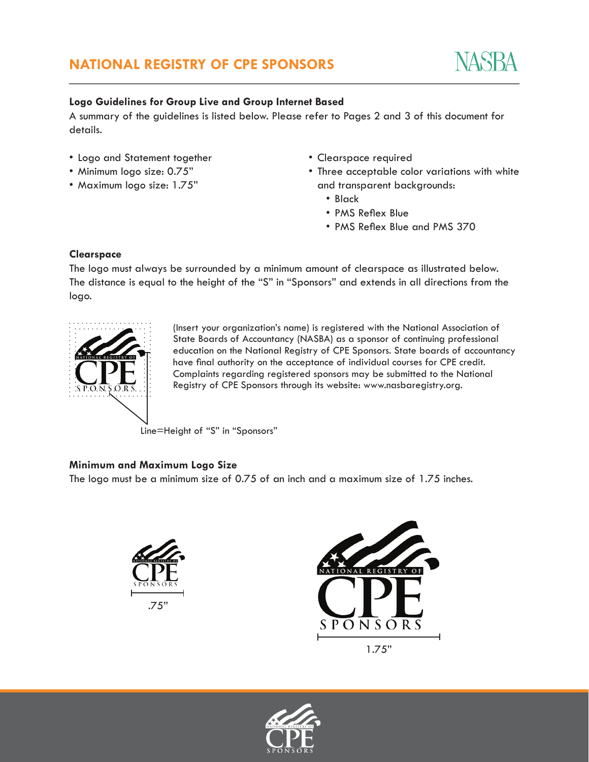

# **Logo Guidelines for Group Live and Group Internet Based**

A summary of the guidelines is listed below. Please refer to Pages 2 and 3 of this document for details.

- Logo and Statement together
- Minimum logo size: 0.75"
- Maximum logo size: 1.75"
- Clearspace required
- Three acceptable color variations with white and transparent backgrounds:
	- Black
	- PMS Reflex Blue
	- PMS Reflex Blue and PMS 370

## **Clearspace**

The logo must always be surrounded by a minimum amount of clearspace as illustrated below. The distance is equal to the height of the "S" in "Sponsors" and extends in all directions from the logo.



(Insert your organization's name) is registered with the National Association of State Boards of Accountancy (NASBA) as a sponsor of continuing professional education on the National Registry of CPE Sponsors. State boards of accountancy have final authority on the acceptance of individual courses for CPE credit. Complaints regarding registered sponsors may be submitted to the National Registry of CPE Sponsors through its website: www.nasbaregistry.org.

Line=Height of "S" in "Sponsors"

# **Minimum and Maximum Logo Size**

The logo must be a minimum size of 0.75 of an inch and a maximum size of 1.75 inches.





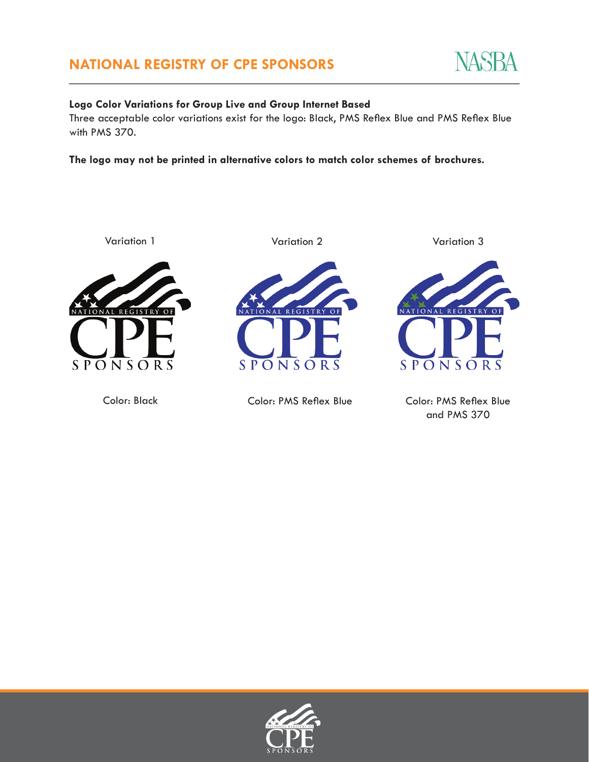

# **Logo Color Variations for Group Live and Group Internet Based**

Three acceptable color variations exist for the logo: Black, PMS Reflex Blue and PMS Reflex Blue with PMS 370.

**The logo may not be printed in alternative colors to match color schemes of brochures.**



Variation 1 Variation 2 Variation 3

NATIONAL REGISTRY OF

SPONS



Color: Black Color: PMS Reflex Blue

Color: PMS Reflex Blue and PMS 370

O R

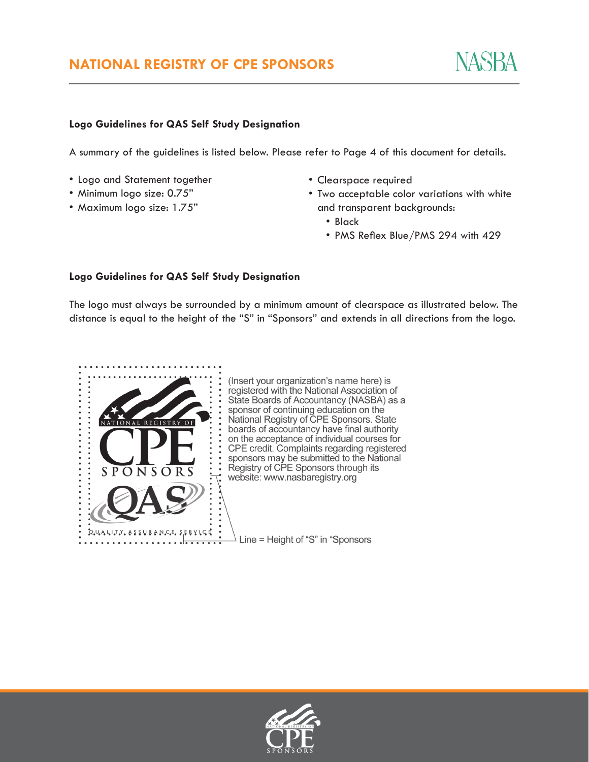# **Logo Guidelines for QAS Self Study Designation**

A summary of the guidelines is listed below. Please refer to Page 4 of this document for details.

- Logo and Statement together
- Minimum logo size: 0.75"
- Maximum logo size: 1.75"
- Clearspace required
- Two acceptable color variations with white and transparent backgrounds:
	- Black
	- PMS Reflex Blue/PMS 294 with 429

## **Logo Guidelines for QAS Self Study Designation**

The logo must always be surrounded by a minimum amount of clearspace as illustrated below. The distance is equal to the height of the "S" in "Sponsors" and extends in all directions from the logo.